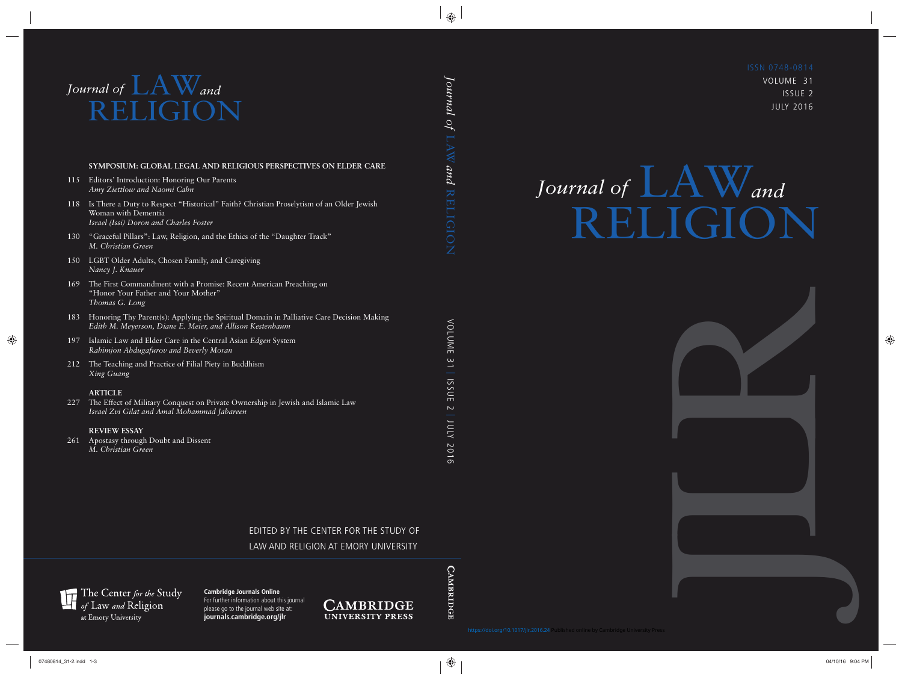VOLUME 31 ISSUE 2 JULY 2016

# $Journal of$   $A$ <sup>*W*</sup>and RELIGION

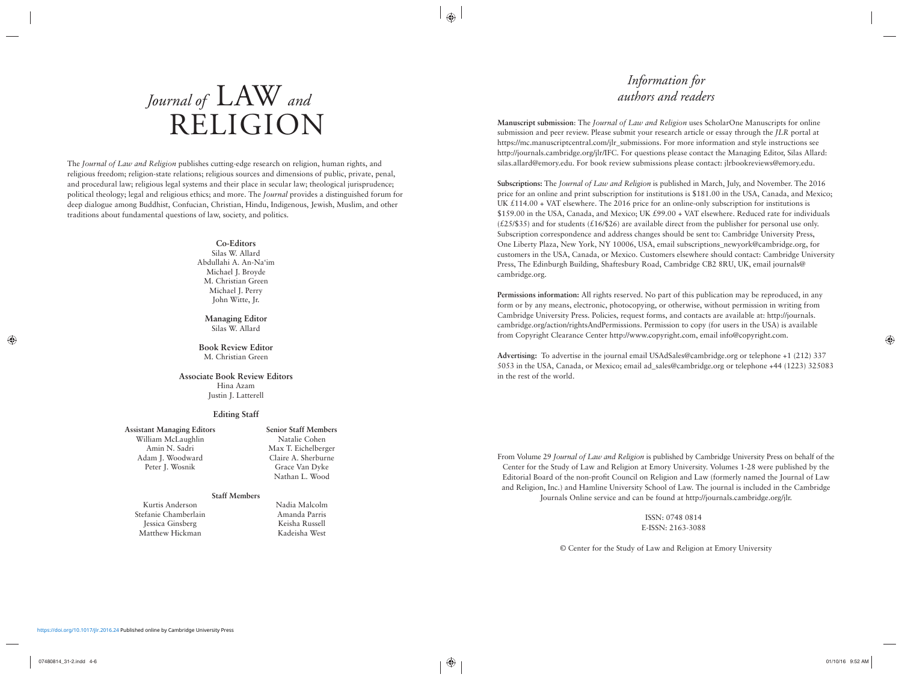## *Journal of* LAW *and* RELIGION

The *Journal of Law and Religion* publishes cutting-edge research on religion, human rights, and religious freedom; religion-state relations; religious sources and dimensions of public, private, penal, and procedural law; religious legal systems and their place in secular law; theological jurisprudence; political theology; legal and religious ethics; and more. The *Journal* provides a distinguished forum for deep dialogue among Buddhist, Confucian, Christian, Hindu, Indigenous, Jewish, Muslim, and other traditions about fundamental questions of law, society, and politics.

#### **Co-Editors**

Silas W. Allard Abdullahi A. An-Na'im Michael J. Broyde M. Christian Green Michael J. Perry John Witte, Jr.

**Managing Editor** Silas W. Allard

#### **Book Review Editor** M. Christian Green

#### **Associate Book Review Editors** Hina Azam

Justin J. Latterell

#### **Editing Staff**

#### **Assistant Managing Editors**

William McLaughlin Amin N. Sadri Adam J. Woodward Peter J. Wosnik

**Senior Staff Members** Natalie Cohen Max T. Eichelberger Claire A. Sherburne Grace Van Dyke Nathan L. Wood

#### **Staff Members**

Kurtis Anderson Stefanie Chamberlain Jessica Ginsberg Matthew Hickman

Nadia Malcolm Amanda Parris Keisha Russell Kadeisha West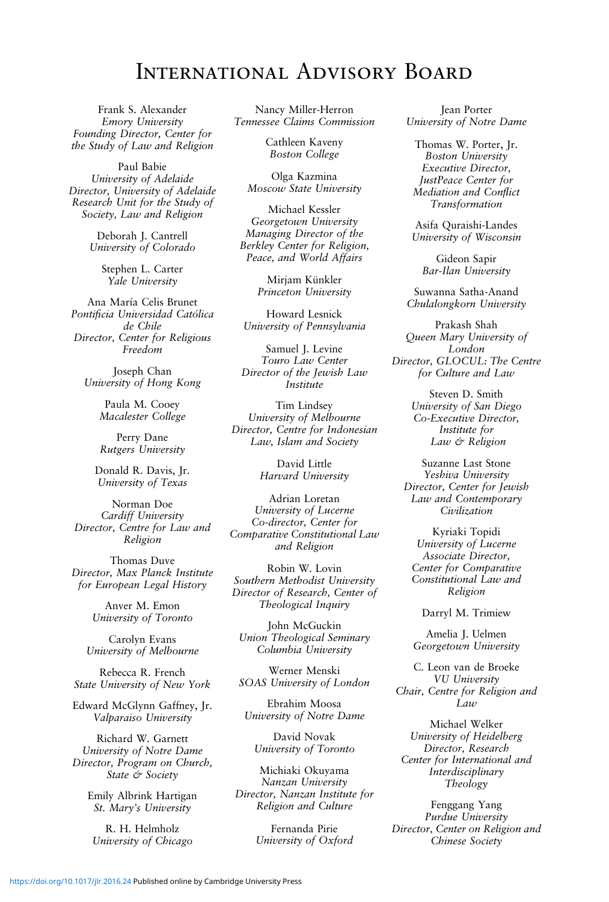### International Advisory Board

Frank S. Alexander Emory University Founding Director, Center for the Study of Law and Religion

Paul Babie University of Adelaide Director, University of Adelaide Research Unit for the Study of Society, Law and Religion

> Deborah J. Cantrell University of Colorado

> > Stephen L. Carter Yale University

Ana María Celis Brunet Pontificia Universidad Católica de Chile Director, Center for Religious Freedom

Joseph Chan University of Hong Kong

> Paula M. Cooey Macalester College

> Perry Dane Rutgers University

Donald R. Davis, Jr. University of Texas

Norman Doe Cardiff University Director, Centre for Law and Religion

Thomas Duve Director, Max Planck Institute for European Legal History

> Anver M. Emon University of Toronto

Carolyn Evans University of Melbourne

Rebecca R. French State University of New York

Edward McGlynn Gaffney, Jr. Valparaiso University

Richard W. Garnett University of Notre Dame Director, Program on Church, State & Society

> Emily Albrink Hartigan St. Mary's University

R. H. Helmholz University of Chicago

Nancy Miller-Herron Tennessee Claims Commission

> Cathleen Kaveny Boston College

Olga Kazmina Moscow State University

Michael Kessler Georgetown University Managing Director of the Berkley Center for Religion, Peace, and World Affairs

> Mirjam Künkler Princeton University

Howard Lesnick University of Pennsylvania

Samuel J. Levine Touro Law Center Director of the Jewish Law Institute

Tim Lindsey University of Melbourne Director, Centre for Indonesian Law, Islam and Society

> David Little Harvard University

Adrian Loretan University of Lucerne Co-director, Center for Comparative Constitutional Law and Religion

Robin W. Lovin Southern Methodist University Director of Research, Center of Theological Inquiry

John McGuckin Union Theological Seminary Columbia University

Werner Menski SOAS University of London

Ebrahim Moosa University of Notre Dame

David Novak University of Toronto

Michiaki Okuyama Nanzan University Director, Nanzan Institute for Religion and Culture

> Fernanda Pirie University of Oxford

Jean Porter University of Notre Dame

Thomas W. Porter, Jr. Boston University Executive Director, JustPeace Center for Mediation and Conflict Transformation

Asifa Quraishi-Landes University of Wisconsin

Gideon Sapir Bar-Ilan University

Suwanna Satha-Anand Chulalongkorn University

Prakash Shah Queen Mary University of London Director, GLOCUL: The Centre for Culture and Law

> Steven D. Smith University of San Diego Co-Executive Director, Institute for Law & Religion

Suzanne Last Stone Yeshiva University Director, Center for Jewish Law and Contemporary Civilization

Kyriaki Topidi University of Lucerne Associate Director, Center for Comparative Constitutional Law and Religion

Darryl M. Trimiew

Amelia J. Uelmen Georgetown University

C. Leon van de Broeke VU University Chair, Centre for Religion and Law

Michael Welker University of Heidelberg Director, Research Center for International and Interdisciplinary Theology

Fenggang Yang Purdue University Director, Center on Religion and Chinese Society